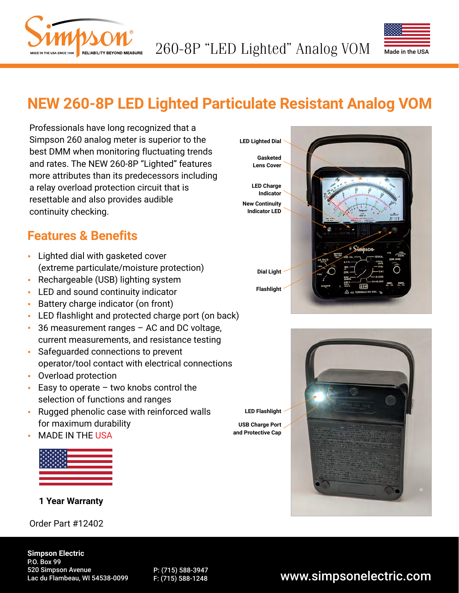



# **NEW 260-8P LED Lighted Particulate Resistant Analog VOM**

Professionals have long recognized that a Simpson 260 analog meter is superior to the best DMM when monitoring fluctuating trends and rates. The NEW 260-8P "Lighted" features more attributes than its predecessors including a relay overload protection circuit that is resettable and also provides audible continuity checking.

### **Features & Benefits**

- Lighted dial with gasketed cover (extreme particulate/moisture protection)
- Rechargeable (USB) lighting system
- LED and sound continuity indicator
- Battery charge indicator (on front)
- LED flashlight and protected charge port (on back)
- 36 measurement ranges AC and DC voltage, current measurements, and resistance testing
- Safeguarded connections to prevent operator/tool contact with electrical connections
- Overload protection
- $\cdot$  Easy to operate two knobs control the selection of functions and ranges
- Rugged phenolic case with reinforced walls for maximum durability
- MADE IN THE USA

#### **1 Year Warranty**

Order Part #12402





**Simpson Electric** P.O. Box 99 520 Simpson Avenue Lac du Flambeau, WI 54538-0099

P: (715) 588-3947

### F: (715) 588-3947<br>F: (715) 588-1248 **www.simpsonelectric.com**

**LED Flashlight**

**USB Charge Port and Protective Cap**